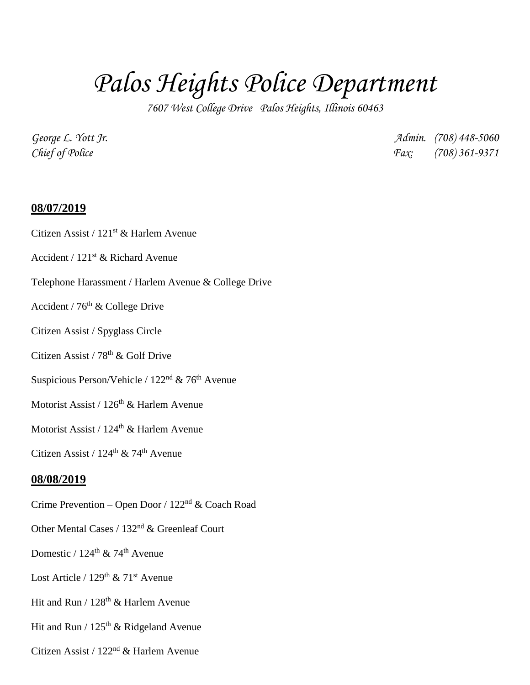# *Palos Heights Police Department*

*7607 West College Drive Palos Heights, Illinois 60463*

*George L. Yott Jr. Admin. (708) 448-5060 Chief of Police Fax: (708) 361-9371*

### **08/07/2019**

#### Citizen Assist / 121<sup>st</sup> & Harlem Avenue

- Accident / 121st & Richard Avenue
- Telephone Harassment / Harlem Avenue & College Drive
- Accident / 76th & College Drive
- Citizen Assist / Spyglass Circle
- Citizen Assist / 78th & Golf Drive
- Suspicious Person/Vehicle /  $122<sup>nd</sup>$  & 76<sup>th</sup> Avenue
- Motorist Assist / 126<sup>th</sup> & Harlem Avenue

Motorist Assist /  $124<sup>th</sup>$  & Harlem Avenue

Citizen Assist /  $124^{\text{th}}$  &  $74^{\text{th}}$  Avenue

#### **08/08/2019**

- Crime Prevention Open Door / 122nd & Coach Road
- Other Mental Cases / 132nd & Greenleaf Court
- Domestic /  $124^{\text{th}}$  &  $74^{\text{th}}$  Avenue
- Lost Article /  $129<sup>th</sup>$  &  $71<sup>st</sup>$  Avenue
- Hit and Run /  $128<sup>th</sup>$  & Harlem Avenue
- Hit and Run /  $125<sup>th</sup>$  & Ridgeland Avenue
- Citizen Assist / 122nd & Harlem Avenue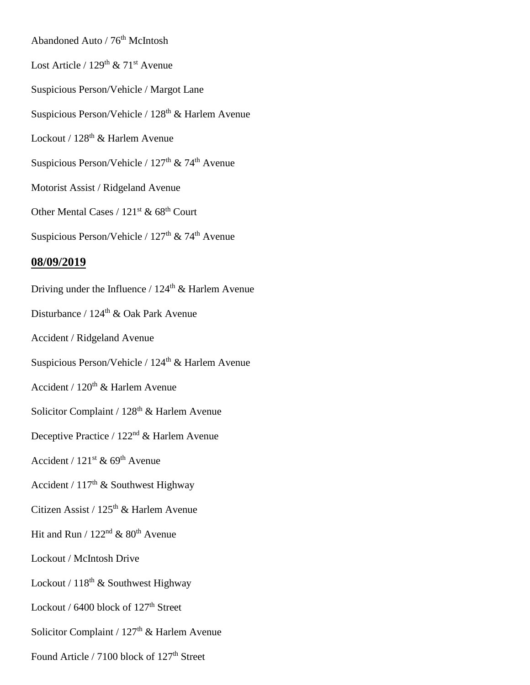Abandoned Auto / 76<sup>th</sup> McIntosh Lost Article /  $129<sup>th</sup>$  &  $71<sup>st</sup>$  Avenue Suspicious Person/Vehicle / Margot Lane Suspicious Person/Vehicle / 128<sup>th</sup> & Harlem Avenue Lockout / 128<sup>th</sup> & Harlem Avenue Suspicious Person/Vehicle /  $127<sup>th</sup>$  & 74<sup>th</sup> Avenue Motorist Assist / Ridgeland Avenue Other Mental Cases / 121<sup>st</sup> & 68<sup>th</sup> Court Suspicious Person/Vehicle /  $127<sup>th</sup>$  & 74<sup>th</sup> Avenue **08/09/2019** Driving under the Influence /  $124<sup>th</sup>$  & Harlem Avenue Disturbance / 124<sup>th</sup> & Oak Park Avenue Accident / Ridgeland Avenue Suspicious Person/Vehicle /  $124<sup>th</sup>$  & Harlem Avenue Accident /  $120<sup>th</sup>$  & Harlem Avenue Solicitor Complaint /  $128<sup>th</sup>$  & Harlem Avenue Deceptive Practice / 122<sup>nd</sup> & Harlem Avenue Accident /  $121^{st}$  &  $69^{th}$  Avenue Accident /  $117<sup>th</sup>$  & Southwest Highway Citizen Assist /  $125<sup>th</sup>$  & Harlem Avenue Hit and Run /  $122<sup>nd</sup>$  &  $80<sup>th</sup>$  Avenue Lockout / McIntosh Drive Lockout /  $118^{th}$  & Southwest Highway Lockout / 6400 block of 127<sup>th</sup> Street Solicitor Complaint /  $127<sup>th</sup>$  & Harlem Avenue Found Article / 7100 block of 127<sup>th</sup> Street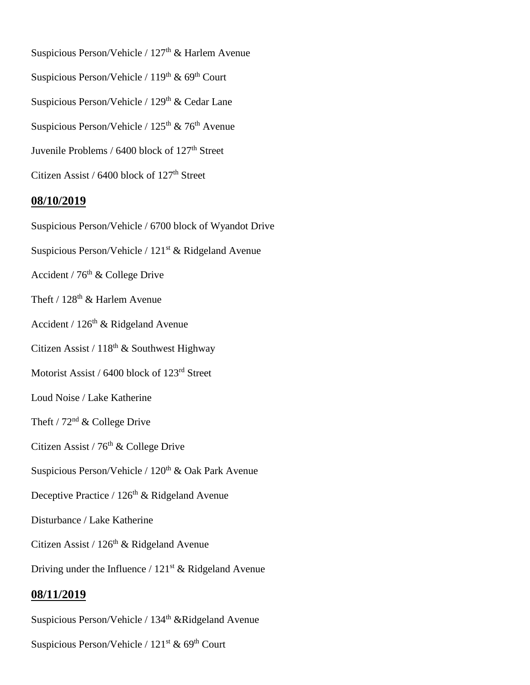Suspicious Person/Vehicle /  $127<sup>th</sup>$  & Harlem Avenue Suspicious Person/Vehicle /  $119<sup>th</sup>$  &  $69<sup>th</sup>$  Court Suspicious Person/Vehicle /  $129<sup>th</sup>$  & Cedar Lane Suspicious Person/Vehicle /  $125<sup>th</sup>$  & 76<sup>th</sup> Avenue Juvenile Problems /  $6400$  block of  $127<sup>th</sup>$  Street Citizen Assist /  $6400$  block of  $127<sup>th</sup>$  Street

## **08/10/2019**

Suspicious Person/Vehicle / 6700 block of Wyandot Drive Suspicious Person/Vehicle / 121<sup>st</sup> & Ridgeland Avenue Accident /  $76<sup>th</sup>$  & College Drive Theft /  $128^{\text{th}}$  & Harlem Avenue Accident /  $126<sup>th</sup>$  & Ridgeland Avenue Citizen Assist /  $118^{th}$  & Southwest Highway Motorist Assist / 6400 block of 123rd Street Loud Noise / Lake Katherine Theft /  $72<sup>nd</sup>$  & College Drive Citizen Assist /  $76<sup>th</sup>$  & College Drive Suspicious Person/Vehicle /  $120<sup>th</sup>$  & Oak Park Avenue Deceptive Practice /  $126<sup>th</sup>$  & Ridgeland Avenue Disturbance / Lake Katherine Citizen Assist /  $126<sup>th</sup>$  & Ridgeland Avenue Driving under the Influence /  $121<sup>st</sup>$  & Ridgeland Avenue **08/11/2019** Suspicious Person/Vehicle /  $134<sup>th</sup>$  &Ridgeland Avenue

Suspicious Person/Vehicle /  $121<sup>st</sup>$  & 69<sup>th</sup> Court